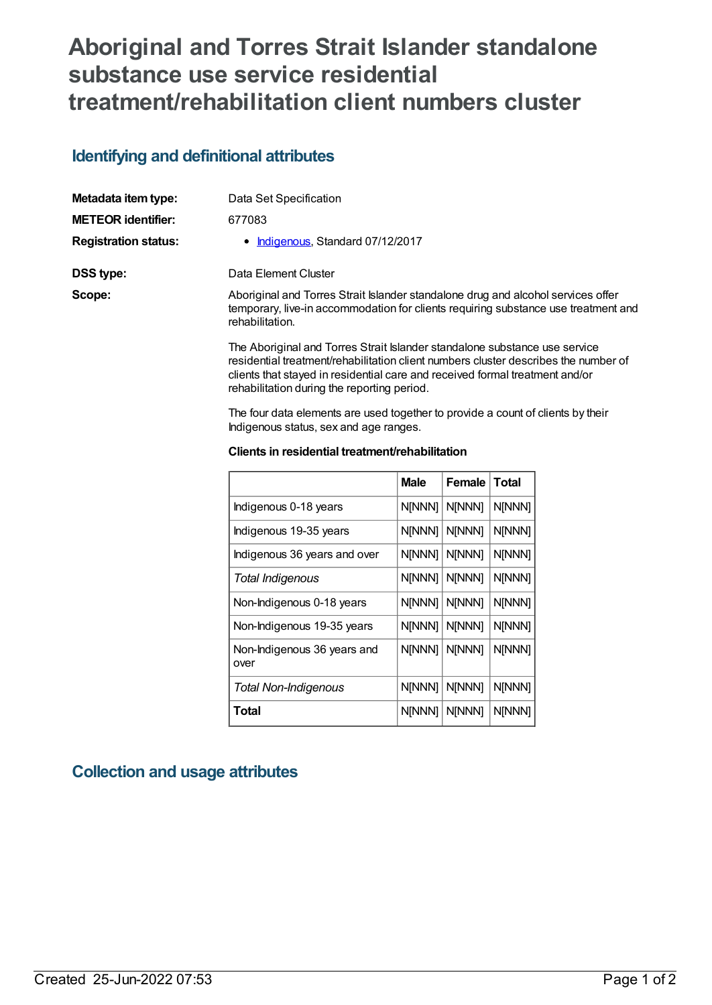## **Aboriginal and Torres Strait Islander standalone substance use service residential treatment/rehabilitation client numbers cluster**

## **Identifying and definitional attributes**

| Metadata item type:         | Data Set Specification                                                                                                                                                                                                                            |  |
|-----------------------------|---------------------------------------------------------------------------------------------------------------------------------------------------------------------------------------------------------------------------------------------------|--|
| <b>METEOR identifier:</b>   | 677083                                                                                                                                                                                                                                            |  |
| <b>Registration status:</b> | • Indigenous, Standard 07/12/2017                                                                                                                                                                                                                 |  |
| DSS type:                   | Data Element Cluster                                                                                                                                                                                                                              |  |
| Scope:                      | Aboriginal and Torres Strait Islander standalone drug and alcohol services offer<br>temporary, live-in accommodation for clients requiring substance use treatment and<br>rehabilitation.                                                         |  |
|                             | The Aboriginal and Torres Strait Islander standalone substance use service<br>residential treatment/rehabilitation client numbers cluster describes the number of<br>clients that stayed in residential care and received formal treatment and/or |  |

The four data elements are used together to provide a count of clients by their Indigenous status, sex and age ranges.

#### **Clients in residential treatment/rehabilitation**

rehabilitation during the reporting period.

|                                     | <b>Male</b> | <b>Female</b> | <b>Total</b> |
|-------------------------------------|-------------|---------------|--------------|
| Indigenous 0-18 years               | N[NNN]      | N[NNN]        | N[NNN]       |
| Indigenous 19-35 years              | N[NNN]      | N[NNN]        | N[NNN]       |
| Indigenous 36 years and over        | N[NNN]      | N[NNN]        | N[NNN]       |
| Total Indigenous                    | N[NNN]      | N[NNN]        | N[NNN]       |
| Non-Indigenous 0-18 years           | N[NNN]      | N[NNN]        | N[NNN]       |
| Non-Indigenous 19-35 years          | N[NNN]      | N[NNN]        | N[NNN]       |
| Non-Indigenous 36 years and<br>over | N[NNN]      | N[NNN]        | N[NNN]       |
| <b>Total Non-Indigenous</b>         | N[NNN]      | <b>NINNN1</b> | N[NNN]       |
| Total                               | N[NNN]      | N[NNN]        | N[NNN]       |

### **Collection and usage attributes**